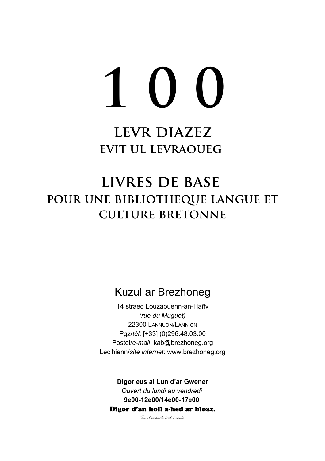# **1 0 0**

## **levr diazez evit ul levraoueg**

# **livres de base pour une bibliotheque langue et culture bretonne**

## Kuzul ar Brezhoneg

14 straed Louzaouenn-an-Hañv *(rue du Muguet)* 22300 LANNUON/LANNION Pgz/*tél*: [+33] (0)296.48.03.00 Postel/*e-mail*: kab@brezhoneg.org Lec'hienn/*site internet*: www.brezhoneg.org

**Digor eus al Lun d'ar Gwener** *Ouvert du lundi au vendredi* **9e00-12e00/14e00-17e00** Digor d'an holl a-hed ar bloaz.

*Ouvert au public toute l'année.*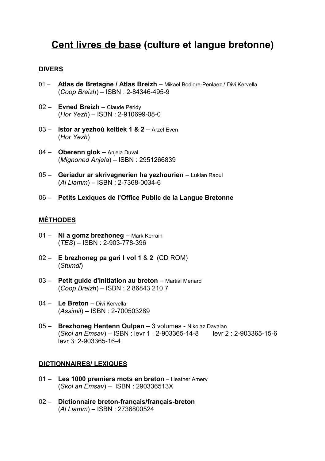### **Cent livres de base (culture et langue bretonne)**

#### **DIVERS**

- 01 **Atlas de Bretagne / Atlas Breizh**  Mikael Bodlore-Penlaez / Divi Kervella (*Coop Breizh*) – ISBN : 2-84346-495-9
- 02 Evned Breizh Claude Péridy (*Hor Yezh*) – ISBN : 2-910699-08-0
- 03 **Istor ar yezhoù keltiek 1 & 2**  Arzel Even (*Hor Yezh*)
- 04 **Oberenn glok** Anjela Duval (*Mignoned Anjela*) *–* ISBN : 2951266839
- 05 **Geriadur ar skrivagnerien ha yezhourien** Lukian Raoul (*Al Liamm*) – ISBN : 2-7368-0034-6
- 06 **Petits Lexiques de l'Office Public de la Langue Bretonne**

#### **MÉTHODES**

- 01 **Ni a gomz brezhoneg** Mark Kerrain (*TES*) – ISBN : 2-903-778-396
- 02 **E brezhoneg pa gari ! vol 1** & **2** (CD ROM) (*Stumdi*)
- 03 **Petit guide d'initiation au breton** Martial Menard (*Coop Breizh*) – ISBN : 2 86843 210 7
- 04 **Le Breton** Divi Kervella (*Assimil*) – ISBN : 2-700503289
- 05 **Brezhoneg Hentenn Oulpan**  3 volumes Nikolaz Davalan (*Skol an Emsav*) – ISBN : levr 1 : 2-903365-14-8 levr 2 : 2-903365-15-6 levr 3: 2-903365-16-4

#### **DICTIONNAIRES/ LEXIQUES**

- 01 Les 1000 premiers mots en breton Heather Amery (*Skol an Emsav*) – ISBN : 290336513X
- 02 **Dictionnaire breton-français/français-breton** (*Al Liamm*) – ISBN : 2736800524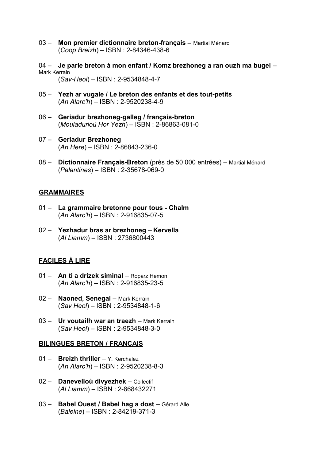- 03 **Mon premier dictionnaire breton-français** Martial Ménard (*Coop Breizh*) – ISBN : 2-84346-438-6
- 04 **Je parle breton à mon enfant / Komz brezhoneg a ran ouzh ma bugel** Mark Kerrain (*Sav-Heol*) – ISBN : 2-9534848-4-7
- 05 **Yezh ar vugale / Le breton des enfants et des tout-petits** (*An Alarc'h*) – ISBN : 2-9520238-4-9
- 06 **Geriadur brezhoneg-galleg / français-breton** (*Mouladurioù Hor Yezh*) *–* ISBN : 2-86863-081-0
- 07 **Geriadur Brezhoneg** (*An Here*) – ISBN : 2-86843-236-0
- 08 **Dictionnaire Français-Breton** (près de 50 000 entrées) Martial Ménard (*Palantines*) – ISBN : 2-35678-069-0

#### **GRAMMAIRES**

- 01 **La grammaire bretonne pour tous Chalm**  (*An Alarc'h*) – ISBN : 2-916835-07-5
- 02 **Yezhadur bras ar brezhoneg Kervella**  (*Al Liamm*) – ISBN : 2736800443

#### **FACILES À LIRE**

- 01 **An ti a drizek siminal** Roparz Hemon (*An Alarc'h*) – ISBN : 2-916835-23-5
- 02 **Naoned, Senegal** Mark Kerrain (*Sav Heol*) – ISBN : 2-9534848-1-6
- 03 **Ur voutailh war an traezh** Mark Kerrain (*Sav Heol*) – ISBN : 2-9534848-3-0

#### **BILINGUES BRETON / FRANÇAIS**

- 01 **Breizh thriller** Y. Kerchalez (*An Alarc'h*) – ISBN : 2-9520238-8-3
- 02 **Danevelloù divyezhek** Collectif (*Al Liamm*) – ISBN : 2-868432271
- 03 **Babel Ouest / Babel hag a dost** Gérard Alle (*Baleine*) – ISBN : 2-84219-371-3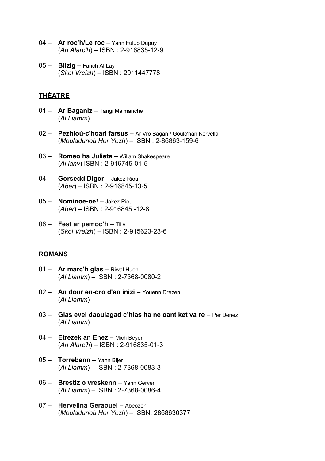- 04 **Ar roc'h/Le roc** Yann Fulub Dupuy (*An Alarc'h*) – ISBN : 2-916835-12-9
- 05 **Bilzig**  Fañch Al Lay (*Skol Vreizh*) – ISBN : 2911447778

#### **THÉATRE**

- 01 **Ar Baganiz** Tangi Malmanche (*Al Liamm*)
- 02 **Pezhioù-c'hoari farsus** Ar Vro Bagan / Goulc'han Kervella (*Mouladurioù Hor Yezh*) – ISBN : 2-86863-159-6
- 03 **Romeo ha Julieta** Wiliam Shakespeare (*Al lanv*) ISBN : 2-916745-01-5
- 04 **Gorsedd Digor** Jakez Riou (*Aber*) – ISBN : 2-916845-13-5
- 05 **Nominoe-oe!**  Jakez Riou (*Aber*) – ISBN : 2-916845 -12-8
- 06 **Fest ar pemoc'h** Tilly (*Skol Vreizh*) – ISBN : 2-915623-23-6

#### **ROMANS**

- 01 **Ar marc'h glas** Riwal Huon (*Al Liamm*) – ISBN : 2-7368-0080-2
- 02 **An dour en-dro d'an inizi** Youenn Drezen (*Al Liamm*)
- 03 **Glas evel daoulagad c'hlas ha ne oant ket va re** Per Denez (*Al Liamm*)
- 04 **Etrezek an Enez** Mich Beyer (*An Alarc'h*) – ISBN : 2-916835-01-3
- 05 **Torrebenn** Yann Bijer (*Al Liamm*) – ISBN : 2-7368-0083-3
- 06 **Brestiz o vreskenn**  Yann Gerven (*Al Liamm*) – ISBN : 2-7368-0086-4
- 07 **Hervelina Geraouel** Abeozen (*Mouladurioù Hor Yezh*) – ISBN: 2868630377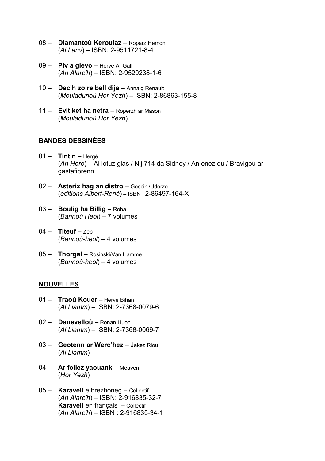- 08 **Diamantoù Keroulaz** Roparz Hemon (*Al Lanv*) – ISBN: 2-9511721-8-4
- 09 **Piv a glevo** Herve Ar Gall (*An Alarc'h*) – ISBN: 2-9520238-1-6
- 10 **Dec'h zo re bell dija**  Annaig Renault (*Mouladurioù Hor Yezh*) – ISBN: 2-86863-155-8
- 11 **Evit ket ha netra** Roperzh ar Mason (*Mouladurioù Hor Yezh*)

#### **BANDES DESSINÉES**

- 01 **Tintin**  Hergé (*An Here*) – Al lotuz glas / Nij 714 da Sidney / An enez du / Bravigoù ar gastafiorenn
- 02 **Asterix hag an distro** Goscini/Uderzo (*editions Albert-René*) – ISBN : 2-86497-164-X
- 03 **Boulig ha Billig**  Roba (*Bannoù Heol*) – 7 volumes
- 04 **Titeuf** Zep (*Bannoù-heol*) – 4 volumes
- 05 **Thorgal**  Rosinski/Van Hamme (*Bannoù-heol*) – 4 volumes

#### **NOUVELLES**

- 01 **Traoù Kouer** Herve Bihan (*Al Liamm*) – ISBN: 2-7368-0079-6
- 02 **Danevelloù** Ronan Huon (*Al Liamm*) – ISBN: 2-7368-0069-7
- 03 **Geotenn ar Werc'hez**  Jakez Riou (*Al Liamm*)
- 04 **Ar follez yaouank** Meaven (*Hor Yezh*)
- 05 **Karavell** e brezhoneg Collectif (*An Alarc'h*) – ISBN: 2-916835-32-7 **Karavell** en français – Collectif (*An Alarc'h*) – ISBN : 2-916835-34-1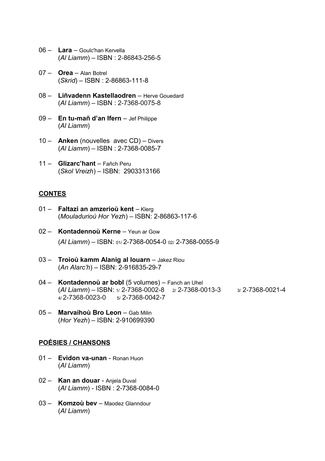- 06 **Lara**  Goulc'han Kervella (*Al Liamm*) – ISBN : 2-86843-256-5
- 07 **Orea**  Alan Botrel (*Skrid*) – ISBN : 2-86863-111-8
- 08 **Liñvadenn Kastellaodren** Herve Gouedard (*Al Liamm*) – ISBN : 2-7368-0075-8
- 09 **En tu-mañ d'an Ifern** Jef Philippe (*Al Liamm*)
- 10 **Anken** (nouvelles avec CD) Divers (*Al Liamm*) – ISBN : 2-7368-0085-7
- 11 **Glizarc'hant**  Fañch Peru (*Skol Vreizh*) – ISBN: 2903313166

#### **CONTES**

- 01 **Faltazi an amzerioù kent** Klerg (*Mouladurioù Hor Yezh*) – ISBN: 2-86863-117-6
- 02 **Kontadennoù Kerne** Yeun ar Gow (*Al Liamm*) – ISBN: 01/ 2-7368-0054-0 02/ 2-7368-0055-9
- 03 **Troioù kamm Alanig al louarn** Jakez Riou (*An Alarc'h*) – ISBN: 2-916835-29-7
- 04 **Kontadennoù ar bobl** (5 volumes) Fanch an Uhel (*Al Liamm*) – ISBN: 1/ 2-7368-0002-8 2/ 2-7368-0013-3 3/ 2-7368-0021-4  $4/2$ -7368-0023-0  $5/2$ -7368-0042-7
- 05 **Marvaihoù Bro Leon** Gab Milin (*Hor Yezh*) – ISBN: 2-910699390

#### **PO É SIES / CHANSONS**

- 01 **Evidon va-unan** Ronan Huon (*Al Liamm*)
- 02 **Kan an douar** Anjela Duval (*Al Liamm*) - ISBN : 2-7368-0084-0
- 03 **Komzoù bev**  Maodez Glanndour (*Al Liamm*)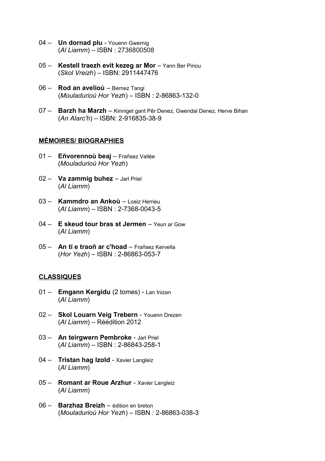- 04 **Un dornad plu** Youenn Gwernig (*Al Liamm*) – ISBN : 2736800508
- 05 **Kestell traezh evit kezeg ar Mor** Yann Ber Piriou (*Skol Vreizh*) – ISBN: 2911447476
- 06 **Rod an avelioù**  Bernez Tangi (*Mouladurioù Hor Yezh*) – ISBN : 2-86863-132-0
- 07 **Barzh ha Marzh**  Kinniget gant Pêr Denez, Gwendal Denez, Herve Bihan (*An Alarc'h*) – ISBN: 2-916835-38-9

#### **MÉMOIRES/ BIOGRAPHIES**

- 01 **Eñvorennoù beaj** Frañsez Vallée (*Mouladurioù Hor Yezh*)
- 02 **Va zammig buhez** Jarl Priel (*Al Liamm*)
- 03 **Kammdro an Ankoù** Loeiz Herrieu (*Al Liamm*) – ISBN : 2-7368-0043-5
- 04 **E skeud tour bras st Jermen** Yeun ar Gow (*Al Liamm*)
- 05 **An ti e traoñ ar c'hoad** Frañsez Kervella (*Hor Yezh*) – ISBN : 2-86863-053-7

#### **CLASSIQUES**

- 01 **Emgann Kergidu** (2 tomes) Lan Inizan (*Al Liamm*)
- 02 **Skol Louarn Veig Trebern** Youenn Drezen (*Al Liamm*) – Réédition 2012
- 03 **An teirgwern Pembroke** Jarl Priel (*Al Liamm*) – ISBN : 2-86843-258-1
- 04 **Tristan hag Izold** Xavier Langleiz (*Al Liamm*)
- 05 **Romant ar Roue Arzhur**  Xavier Langleiz (*Al Liamm*)
- 06 **Barzhaz Breizh** édition en breton (*Mouladurioù Hor Yezh*) – ISBN : 2-86863-038-3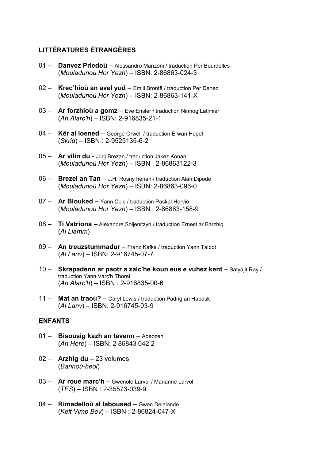#### **LITTÉRATURES ÉTRANGÈRES**

- 01 **Danvez Priedoù** Alessandro Manzoni / traduction Per Bourdelles (*Mouladurioù Hor Yezh*) – ISBN: 2-86863-024-3
- 02 **Krec'hioù an avel yud** Emili Brontë / traduction Per Denez (*Mouladurioù Hor Yezh*) – ISBN: 2-86863-141-X
- 03 **Ar forzhioù a gomz** Eve Ensler / traduction Ninnog Latimier (*An Alarc'h*) – ISBN: 2-916835-21-1
- 04 **Kêr al loened** George Orwell / traduction Erwan Hupel (*Skrid*) – ISBN : 2-9525135-6-2
- 05 **Ar vilin du** Jùrij Brezan / traduction Jakez Konan (*Mouladurioù Hor Yezh*) – ISBN : 2-86863122-3
- 06 **Brezel an Tan** J.H. Rosny henañ / traduction Alan Dipode (*Mouladurioù Hor Yezh*) – ISBN: 2-86863-096-0
- 07 **Ar Blouked** Yann Coic / traduction Paskal Hervio (*Mouladurioù Hor Yezh*) – ISBN : 2-86863-158-9
- 08 **Ti Vatriona** Alexandre Soljenitzyn / traduction Ernest ar Barzhig (*Al Liamm*)
- 09 **An treuzstummadur** Franz Kafka / traduction Yann Talbot (*Al Lanv*) – ISBN: 2-916745-07-7
- 10 Skrapadenn ar paotr a zalc'he koun eus e vuhez kent Satyajit Ray / traduction Yann Varc'h Thorel (*An Alarc'h*) – ISBN : 2-916835-00-6
- 11 **Mat an traoù?** Caryl Lewis / traduction Padrig an Habask (*Al Lanv*) – ISBN: 2-916745-03-9

#### **ENFANTS**

- 01 **Bisousig kazh an tevenn**  Abeozen (*An Here*) – ISBN: 2 86843 042 2
- 02 **Arzhig du –** 23 volumes (*Bannoù-heol*)
- 03 **Ar roue marc'h**  Gwenole Larvol / Marianne Larvol (*TES*) – ISBN : 2-35573-039-9
- 04 **Rimadelloù al laboused**  Gwen Delalande (*Keit Vimp Bev*) – ISBN : 2-86824-047-X